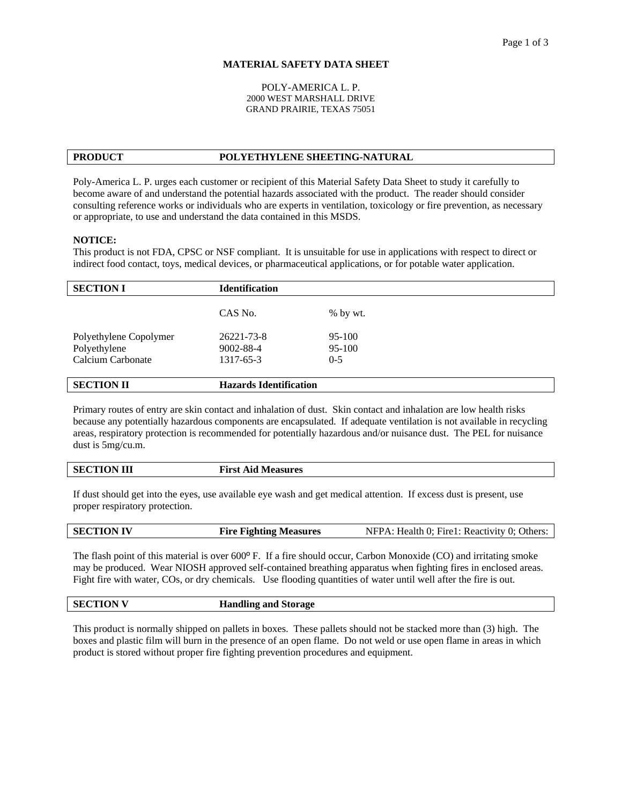## **MATERIAL SAFETY DATA SHEET**

### POLY-AMERICA L. P. 2000 WEST MARSHALL DRIVE GRAND PRAIRIE, TEXAS 75051

# **PRODUCT POLYETHYLENE SHEETING-NATURAL**

Poly-America L. P. urges each customer or recipient of this Material Safety Data Sheet to study it carefully to become aware of and understand the potential hazards associated with the product. The reader should consider consulting reference works or individuals who are experts in ventilation, toxicology or fire prevention, as necessary or appropriate, to use and understand the data contained in this MSDS.

### **NOTICE:**

This product is not FDA, CPSC or NSF compliant. It is unsuitable for use in applications with respect to direct or indirect food contact, toys, medical devices, or pharmaceutical applications, or for potable water application.

| <b>SECTION I</b>       | <b>Identification</b>         |            |
|------------------------|-------------------------------|------------|
|                        | CAS No.                       | $%$ by wt. |
|                        |                               |            |
| Polyethylene Copolymer | 26221-73-8                    | 95-100     |
| Polyethylene           | 9002-88-4                     | 95-100     |
| Calcium Carbonate      | 1317-65-3                     | $0 - 5$    |
|                        |                               |            |
| <b>SECTION II</b>      | <b>Hazards Identification</b> |            |

Primary routes of entry are skin contact and inhalation of dust. Skin contact and inhalation are low health risks because any potentially hazardous components are encapsulated. If adequate ventilation is not available in recycling areas, respiratory protection is recommended for potentially hazardous and/or nuisance dust. The PEL for nuisance dust is 5mg/cu.m.

| <b>SECTION III</b> |
|--------------------|
|--------------------|

**First Aid Measures** 

If dust should get into the eyes, use available eye wash and get medical attention. If excess dust is present, use proper respiratory protection.

| <b>SECTION IV</b> | <b>Fire Fighting Measures</b> | NFPA: Health 0; Fire1: Reactivity 0; Others: |
|-------------------|-------------------------------|----------------------------------------------|
|-------------------|-------------------------------|----------------------------------------------|

The flash point of this material is over 600º F. If a fire should occur, Carbon Monoxide (CO) and irritating smoke may be produced. Wear NIOSH approved self-contained breathing apparatus when fighting fires in enclosed areas. Fight fire with water, COs, or dry chemicals. Use flooding quantities of water until well after the fire is out.

| <b>SECTION V</b> | <b>Handling and Storage</b> |
|------------------|-----------------------------|
|------------------|-----------------------------|

This product is normally shipped on pallets in boxes. These pallets should not be stacked more than (3) high. The boxes and plastic film will burn in the presence of an open flame. Do not weld or use open flame in areas in which product is stored without proper fire fighting prevention procedures and equipment.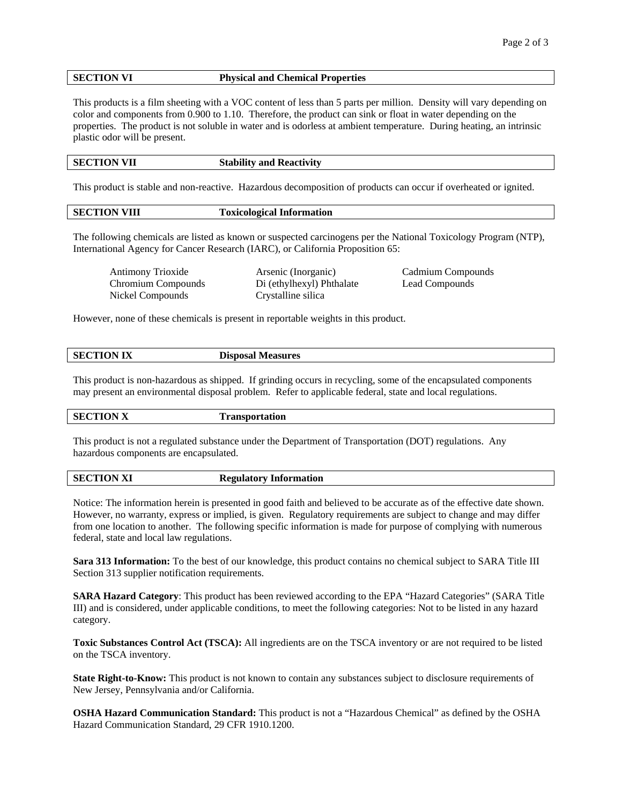## **SECTION VI Physical and Chemical Properties**

This products is a film sheeting with a VOC content of less than 5 parts per million. Density will vary depending on color and components from 0.900 to 1.10. Therefore, the product can sink or float in water depending on the properties. The product is not soluble in water and is odorless at ambient temperature. During heating, an intrinsic plastic odor will be present.

| <b>SECTION VII</b> | <b>Stability and Reactivity</b> |
|--------------------|---------------------------------|
|                    |                                 |

This product is stable and non-reactive. Hazardous decomposition of products can occur if overheated or ignited.

| <b>SECTION VIII</b> | <b>Toxicological Information</b> |
|---------------------|----------------------------------|
|                     |                                  |

The following chemicals are listed as known or suspected carcinogens per the National Toxicology Program (NTP), International Agency for Cancer Research (IARC), or California Proposition 65:

| Antimony Trioxide  | Arsenic (Inorganic)       | Cadmium Compounds |
|--------------------|---------------------------|-------------------|
| Chromium Compounds | Di (ethylhexyl) Phthalate | Lead Compounds    |
| Nickel Compounds   | Crystalline silica        |                   |

However, none of these chemicals is present in reportable weights in this product.

| <b>SECTION IX</b> | <b>Measures</b><br>Disposal |
|-------------------|-----------------------------|
|                   |                             |

This product is non-hazardous as shipped. If grinding occurs in recycling, some of the encapsulated components may present an environmental disposal problem. Refer to applicable federal, state and local regulations.

| <b>SECTION X</b> | чиоп |
|------------------|------|
|                  |      |

This product is not a regulated substance under the Department of Transportation (DOT) regulations. Any hazardous components are encapsulated.

| <b>SECTION XI</b> | <b>Regulatory Information</b> |
|-------------------|-------------------------------|
|                   |                               |

Notice: The information herein is presented in good faith and believed to be accurate as of the effective date shown. However, no warranty, express or implied, is given. Regulatory requirements are subject to change and may differ from one location to another. The following specific information is made for purpose of complying with numerous federal, state and local law regulations.

**Sara 313 Information:** To the best of our knowledge, this product contains no chemical subject to SARA Title III Section 313 supplier notification requirements.

**SARA Hazard Category**: This product has been reviewed according to the EPA "Hazard Categories" (SARA Title III) and is considered, under applicable conditions, to meet the following categories: Not to be listed in any hazard category.

**Toxic Substances Control Act (TSCA):** All ingredients are on the TSCA inventory or are not required to be listed on the TSCA inventory.

**State Right-to-Know:** This product is not known to contain any substances subject to disclosure requirements of New Jersey, Pennsylvania and/or California.

**OSHA Hazard Communication Standard:** This product is not a "Hazardous Chemical" as defined by the OSHA Hazard Communication Standard, 29 CFR 1910.1200.